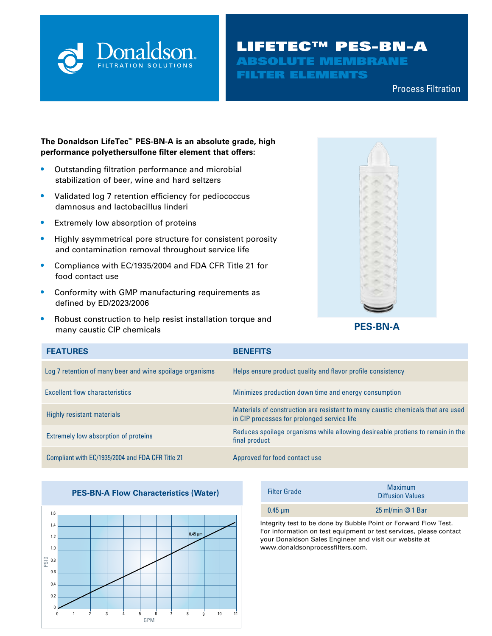

# LIFETEC™ PES-BN-A ABSOLUTE MEMBRANE FILTER ELEMENTS

Compressed Air & Process Filtration Process Filtration

#### **The Donaldson LifeTec™ PES-BN-A is an absolute grade, high performance polyethersulfone filter element that offers:**

- **•** Outstanding filtration performance and microbial stabilization of beer, wine and hard seltzers
- **•** Validated log 7 retention efficiency for pediococcus damnosus and lactobacillus linderi
- **•** Extremely low absorption of proteins
- **•** Highly asymmetrical pore structure for consistent porosity and contamination removal throughout service life
- **•** Compliance with EC/1935/2004 and FDA CFR Title 21 for food contact use
- **•** Conformity with GMP manufacturing requirements as defined by ED/2023/2006
- **•** Robust construction to help resist installation torque and many caustic CIP chemicals **PES-BN-A**



| <b>FEATURES</b>                                          | <b>BENEFITS</b>                                                                                                                |
|----------------------------------------------------------|--------------------------------------------------------------------------------------------------------------------------------|
| Log 7 retention of many beer and wine spoilage organisms | Helps ensure product quality and flavor profile consistency                                                                    |
| <b>Excellent flow characteristics</b>                    | Minimizes production down time and energy consumption                                                                          |
| Highly resistant materials                               | Materials of construction are resistant to many caustic chemicals that are used<br>in CIP processes for prolonged service life |
| Extremely low absorption of proteins                     | Reduces spoilage organisms while allowing desireable protiens to remain in the<br>final product                                |
| Compliant with EC/1935/2004 and FDA CFR Title 21         | Approved for food contact use                                                                                                  |

#### **PES-BN-A Flow Characteristics (Water)**



| <b>Filter Grade</b>                                            | <b>Maximum</b><br><b>Diffusion Values</b> |  |
|----------------------------------------------------------------|-------------------------------------------|--|
| $0.45 \mu m$                                                   | 25 ml/min $@$ 1 Bar                       |  |
| Integrate test to be dens by Dubble Deint or Fourced Flow Test |                                           |  |

Integrity test to be done by Bubble Point or Forward Flow Test. For information on test equipment or test services, please contact your Donaldson Sales Engineer and visit our website at www.donaldsonprocessfilters.com.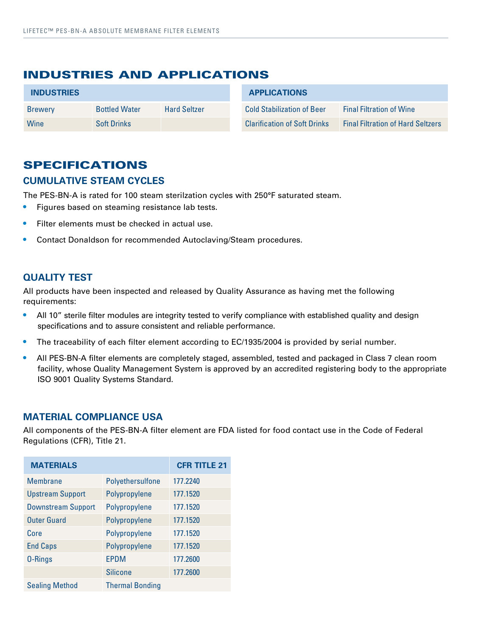# INDUSTRIES AND APPLICATIONS

| <b>INDUSTRIES</b> |                      | <b>APPLICATIONS</b> |                                     |                                          |
|-------------------|----------------------|---------------------|-------------------------------------|------------------------------------------|
| <b>Brewery</b>    | <b>Bottled Water</b> | <b>Hard Seltzer</b> | <b>Cold Stabilization of Beer</b>   | <b>Final Filtration of Wine</b>          |
| Wine              | <b>Soft Drinks</b>   |                     | <b>Clarification of Soft Drinks</b> | <b>Final Filtration of Hard Seltzers</b> |

## SPECIFICATIONS

#### **CUMULATIVE STEAM CYCLES**

The PES-BN-A is rated for 100 steam sterilzation cycles with 250°F saturated steam.

- **•** Figures based on steaming resistance lab tests.
- **•** Filter elements must be checked in actual use.
- **•** Contact Donaldson for recommended Autoclaving/Steam procedures.

#### **QUALITY TEST**

All products have been inspected and released by Quality Assurance as having met the following requirements:

- All 10" sterile filter modules are integrity tested to verify compliance with established quality and design specifications and to assure consistent and reliable performance.
- The traceability of each filter element according to EC/1935/2004 is provided by serial number.
- **•** All PES-BN-A filter elements are completely staged, assembled, tested and packaged in Class 7 clean room facility, whose Quality Management System is approved by an accredited registering body to the appropriate ISO 9001 Quality Systems Standard.

#### **MATERIAL COMPLIANCE USA**

All components of the PES-BN-A filter element are FDA listed for food contact use in the Code of Federal Regulations (CFR), Title 21.

| <b>MATERIALS</b>          | <b>CFR TITLE 21</b>    |          |
|---------------------------|------------------------|----------|
| <b>Membrane</b>           | Polyethersulfone       | 177.2240 |
| <b>Upstream Support</b>   | Polypropylene          | 177.1520 |
| <b>Downstream Support</b> | Polypropylene          | 177.1520 |
| <b>Outer Guard</b>        | Polypropylene          | 177.1520 |
| Core                      | Polypropylene          | 177.1520 |
| <b>End Caps</b>           | Polypropylene          | 177.1520 |
| 0-Rings                   | <b>EPDM</b>            | 177.2600 |
|                           | <b>Silicone</b>        | 177.2600 |
| <b>Sealing Method</b>     | <b>Thermal Bonding</b> |          |